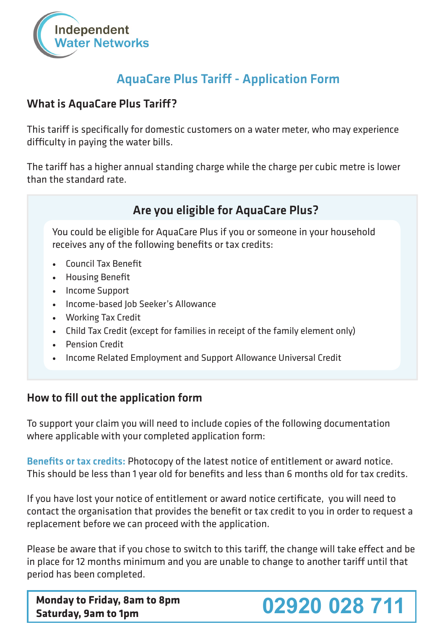

## AquaCare Plus Tariff - Application Form

### What is AquaCare Plus Tariff?

This tariff is specifically for domestic customers on a water meter, who may experience difficulty in paying the water bills.

The tariff has a higher annual standing charge while the charge per cubic metre is lower than the standard rate.



To support your claim you will need to include copies of the following documentation where applicable with your completed application form:

Benefits or tax credits: Photocopy of the latest notice of entitlement or award notice. This should be less than 1 year old for benefits and less than 6 months old for tax credits.

If you have lost your notice of entitlement or award notice certificate, you will need to contact the organisation that provides the benefit or tax credit to you in order to request a replacement before we can proceed with the application.

Please be aware that if you chose to switch to this tariff, the change will take effect and be in place for 12 months minimum and you are unable to change to another tariff until that period has been completed.

**Monday to Friday, 8am to 8pm**

# **Saturday, 9am to 1pm 02920 028 711**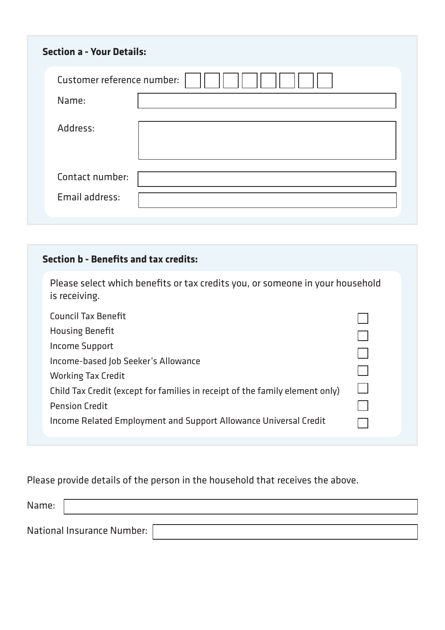| <b>Section a - Your Details:</b> |  |  |  |  |  |
|----------------------------------|--|--|--|--|--|
| Customer reference number:       |  |  |  |  |  |
| Name:                            |  |  |  |  |  |
| Address:                         |  |  |  |  |  |
| Contact number:                  |  |  |  |  |  |
| Email address:                   |  |  |  |  |  |

#### **Section b - Benefits and tax credits:**

| Please select which benefits or tax credits you, or someone in your household |  |
|-------------------------------------------------------------------------------|--|
| is receiving.                                                                 |  |

| <b>Council Tax Benefit</b>                                                   |  |
|------------------------------------------------------------------------------|--|
| <b>Housing Benefit</b>                                                       |  |
| Income Support                                                               |  |
| Income-based Job Seeker's Allowance                                          |  |
| <b>Working Tax Credit</b>                                                    |  |
| Child Tax Credit (except for families in receipt of the family element only) |  |
| <b>Pension Credit</b>                                                        |  |
| Income Related Employment and Support Allowance Universal Credit             |  |
|                                                                              |  |

## Please provide details of the person in the household that receives the above.

| Name: |                            |  |
|-------|----------------------------|--|
|       |                            |  |
|       | National Insurance Number: |  |